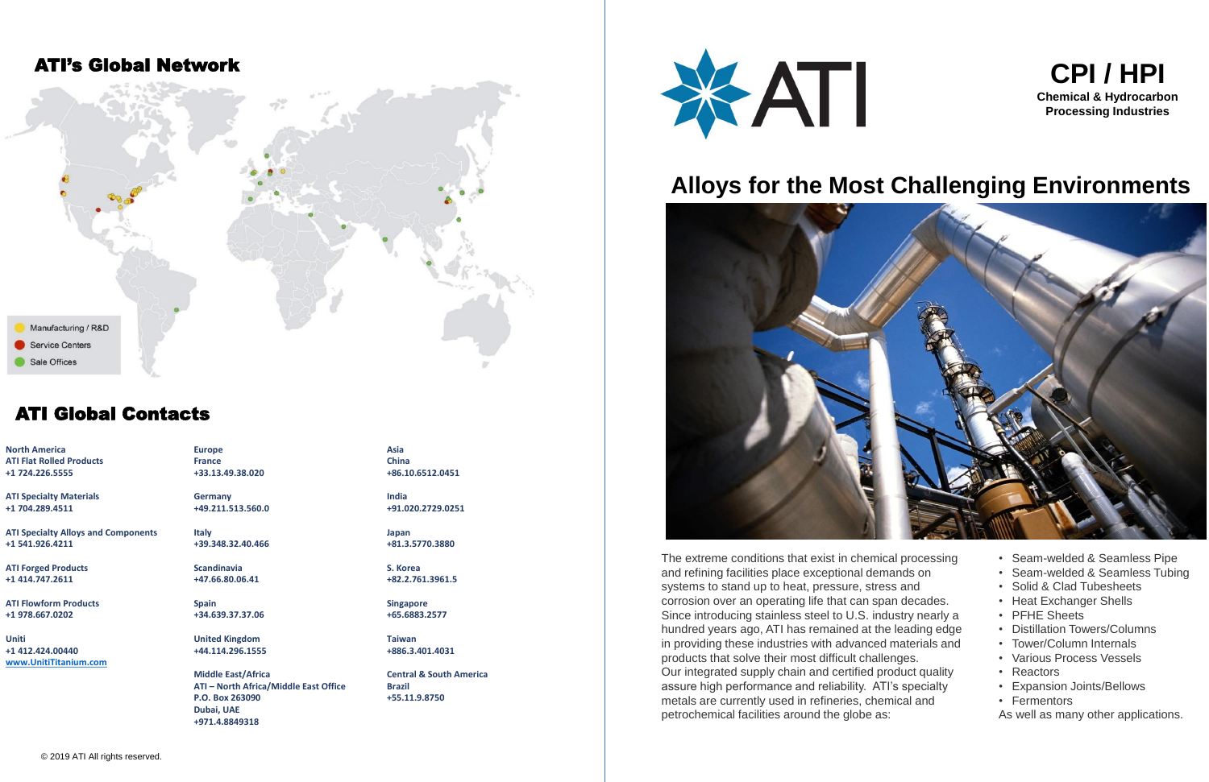**North America ATI Flat Rolled Products +1 724.226.5555**

**ATI Specialty Materials +1 704.289.4511**

**ATI Specialty Alloys and Components +1 541.926.4211**

**ATI Forged Products +1 414.747.2611**

**ATI Flowform Products +1 978.667.0202**

**Uniti +1 412.424.00440 [www.UnitiTitanium.com](http://www.unitititanium.com/)** **Europe France +33.13.49.38.020**

**Germany +49.211.513.560.0**

**Italy +39.348.32.40.466**

**Scandinavia +47.66.80.06.41**

**Spain +34.639.37.37.06**

**United Kingdom +44.114.296.1555**

**Middle East/Africa ATI – North Africa/Middle East Office P.O. Box 263090 Dubai, UAE +971.4.8849318**

**Asia China +86.10.6512.0451**

**India +91.020.2729.0251**

**Japan +81.3.5770.3880**

**S. Korea +82.2.761.3961.5**

**Singapore +65.6883.2577**

**Taiwan +886.3.401.4031**

**Central & South America Brazil +55.11.9.8750**



- Seam-welded & Seamless Pipe
- Seam-welded & Seamless Tubing
- Solid & Clad Tubesheets
- Heat Exchanger Shells
- PFHE Sheets
- Distillation Towers/Columns
- Tower/Column Internals
- Various Process Vessels
- Reactors
- Expansion Joints/Bellows
- Fermentors
- As well as many other applications.

The extreme conditions that exist in chemical processing and refining facilities place exceptional demands on systems to stand up to heat, pressure, stress and corrosion over an operating life that can span decades. Since introducing stainless steel to U.S. industry nearly a hundred years ago, ATI has remained at the leading edge in providing these industries with advanced materials and products that solve their most difficult challenges. Our integrated supply chain and certified product quality assure high performance and reliability. ATI's specialty metals are currently used in refineries, chemical and petrochemical facilities around the globe as:

## ATI Global Contacts

### ATI's Global Network



# **Alloys for the Most Challenging Environments**



### **CPI / HPI Chemical & Hydrocarbon Processing Industries**

- 
- 
- 
- 
- 
- 
- 
- 
-